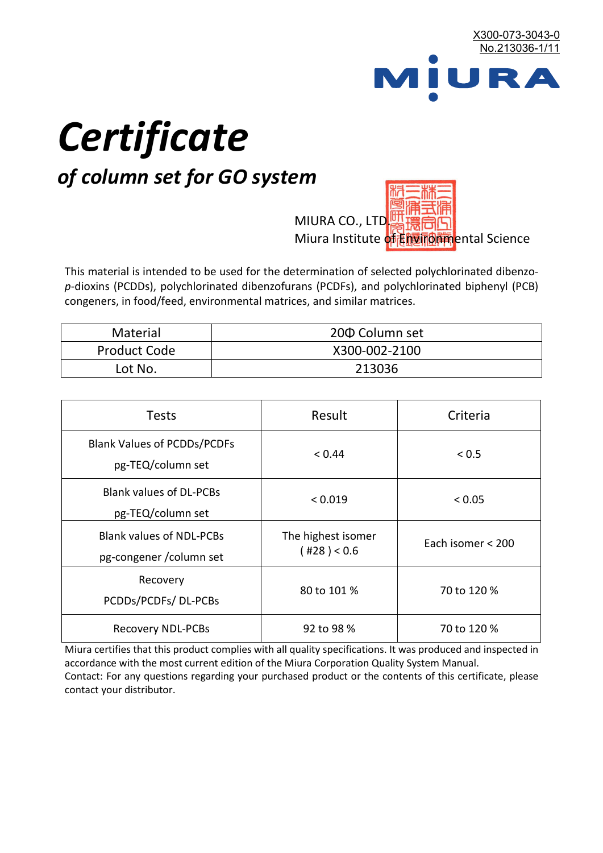

# *Certificate*

## *of column set for GO system*

MIURA CO., LTD. Miura Institute of 正版而解ental Science

This material is intended to be used for the determination of selected polychlorinated dibenzo*p*-dioxins (PCDDs), polychlorinated dibenzofurans (PCDFs), and polychlorinated biphenyl (PCB) congeners, in food/feed, environmental matrices, and similar matrices.

| <b>Material</b>     | 200 Column set |  |
|---------------------|----------------|--|
| <b>Product Code</b> | X300-002-2100  |  |
| Lot No.             | 213036         |  |

| <b>Tests</b>                                                | Result                            | Criteria          |
|-------------------------------------------------------------|-----------------------------------|-------------------|
| <b>Blank Values of PCDDs/PCDFs</b><br>pg-TEQ/column set     | < 0.44                            | < 0.5             |
| <b>Blank values of DL-PCBs</b><br>pg-TEQ/column set         | < 0.019                           | < 0.05            |
| <b>Blank values of NDL-PCBs</b><br>pg-congener / column set | The highest isomer<br>(428) < 0.6 | Each isomer < 200 |
| Recovery<br>PCDDs/PCDFs/DL-PCBs                             | 80 to 101 %                       | 70 to 120 %       |
| <b>Recovery NDL-PCBs</b>                                    | 92 to 98 %                        | 70 to 120 %       |

Miura certifies that this product complies with all quality specifications. It was produced and inspected in accordance with the most current edition of the Miura Corporation Quality System Manual. Contact: For any questions regarding your purchased product or the contents of this certificate, please contact your distributor.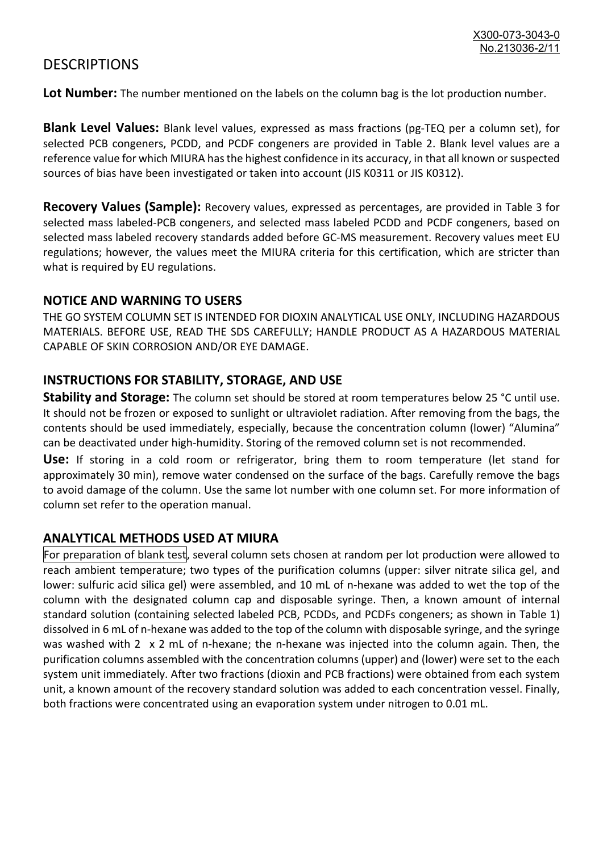### **DESCRIPTIONS**

**Lot Number:** The number mentioned on the labels on the column bag is the lot production number.

**Blank Level Values:** Blank level values, expressed as mass fractions (pg-TEQ per a column set), for selected PCB congeners, PCDD, and PCDF congeners are provided in Table 2. Blank level values are a reference value for which MIURA has the highest confidence in its accuracy, in that all known or suspected sources of bias have been investigated or taken into account (JIS K0311 or JIS K0312).

**Recovery Values (Sample):** Recovery values, expressed as percentages, are provided in Table 3 for selected mass labeled-PCB congeners, and selected mass labeled PCDD and PCDF congeners, based on selected mass labeled recovery standards added before GC-MS measurement. Recovery values meet EU regulations; however, the values meet the MIURA criteria for this certification, which are stricter than what is required by EU regulations.

#### **NOTICE AND WARNING TO USERS**

THE GO SYSTEM COLUMN SET IS INTENDED FOR DIOXIN ANALYTICAL USE ONLY, INCLUDING HAZARDOUS MATERIALS. BEFORE USE, READ THE SDS CAREFULLY; HANDLE PRODUCT AS A HAZARDOUS MATERIAL CAPABLE OF SKIN CORROSION AND/OR EYE DAMAGE.

#### **INSTRUCTIONS FOR STABILITY, STORAGE, AND USE**

**Stability and Storage:** The column set should be stored at room temperatures below 25 °C until use. It should not be frozen or exposed to sunlight or ultraviolet radiation. After removing from the bags, the contents should be used immediately, especially, because the concentration column (lower) "Alumina" can be deactivated under high-humidity. Storing of the removed column set is not recommended.

**Use:** If storing in a cold room or refrigerator, bring them to room temperature (let stand for approximately 30 min), remove water condensed on the surface of the bags. Carefully remove the bags to avoid damage of the column. Use the same lot number with one column set. For more information of column set refer to the operation manual.

#### **ANALYTICAL METHODS USED AT MIURA**

For preparation of blank test, several column sets chosen at random per lot production were allowed to reach ambient temperature; two types of the purification columns (upper: silver nitrate silica gel, and lower: sulfuric acid silica gel) were assembled, and 10 mL of n-hexane was added to wet the top of the column with the designated column cap and disposable syringe. Then, a known amount of internal standard solution (containing selected labeled PCB, PCDDs, and PCDFs congeners; as shown in Table 1) dissolved in 6 mL of n-hexane was added to the top of the column with disposable syringe, and the syringe was washed with 2 x 2 mL of n-hexane; the n-hexane was injected into the column again. Then, the purification columns assembled with the concentration columns (upper) and (lower) were set to the each system unit immediately. After two fractions (dioxin and PCB fractions) were obtained from each system unit, a known amount of the recovery standard solution was added to each concentration vessel. Finally, both fractions were concentrated using an evaporation system under nitrogen to 0.01 mL.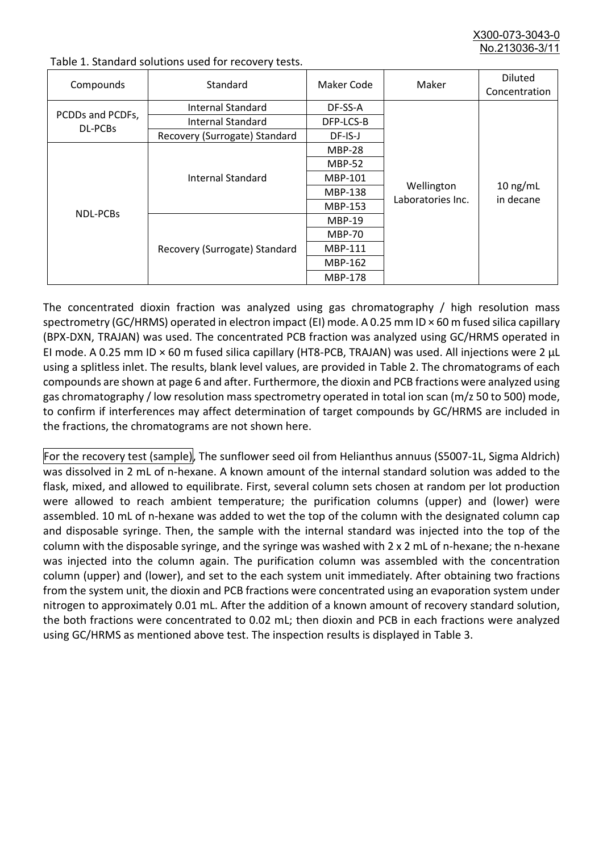X300-073-3043-0 No.213036-3/

| Compounds                   | Standard                      | Maker Code     | Maker                           | <b>Diluted</b><br>Concentration |
|-----------------------------|-------------------------------|----------------|---------------------------------|---------------------------------|
| PCDDs and PCDFs,<br>DL-PCBs | Internal Standard             | DF-SS-A        |                                 |                                 |
|                             | <b>Internal Standard</b>      | DFP-LCS-B      |                                 |                                 |
|                             | Recovery (Surrogate) Standard | DF-IS-J        | Wellington<br>Laboratories Inc. | $10$ ng/mL<br>in decane         |
| <b>NDL-PCBs</b>             | Internal Standard             | <b>MBP-28</b>  |                                 |                                 |
|                             |                               | <b>MBP-52</b>  |                                 |                                 |
|                             |                               | MBP-101        |                                 |                                 |
|                             |                               | <b>MBP-138</b> |                                 |                                 |
|                             |                               | MBP-153        |                                 |                                 |
|                             | Recovery (Surrogate) Standard | <b>MBP-19</b>  |                                 |                                 |
|                             |                               | <b>MBP-70</b>  |                                 |                                 |
|                             |                               | MBP-111        |                                 |                                 |
|                             |                               | MBP-162        |                                 |                                 |
|                             |                               | <b>MBP-178</b> |                                 |                                 |

Table 1. Standard solutions used for recovery tests.

The concentrated dioxin fraction was analyzed using gas chromatography / high resolution mass spectrometry (GC/HRMS) operated in electron impact (EI) mode. A 0.25 mm ID × 60 m fused silica capillary (BPX-DXN, TRAJAN) was used. The concentrated PCB fraction was analyzed using GC/HRMS operated in EI mode. A 0.25 mm ID × 60 m fused silica capillary (HT8-PCB, TRAJAN) was used. All injections were 2 μL using a splitless inlet. The results, blank level values, are provided in Table 2. The chromatograms of each compounds are shown at page 6 and after. Furthermore, the dioxin and PCB fractions were analyzed using gas chromatography / low resolution mass spectrometry operated in total ion scan (m/z 50 to 500) mode, to confirm if interferences may affect determination of target compounds by GC/HRMS are included in the fractions, the chromatograms are not shown here.

For the recovery test (sample), The sunflower seed oil from Helianthus annuus (S5007-1L, Sigma Aldrich) was dissolved in 2 mL of n-hexane. A known amount of the internal standard solution was added to the flask, mixed, and allowed to equilibrate. First, several column sets chosen at random per lot production were allowed to reach ambient temperature; the purification columns (upper) and (lower) were assembled. 10 mL of n-hexane was added to wet the top of the column with the designated column cap and disposable syringe. Then, the sample with the internal standard was injected into the top of the column with the disposable syringe, and the syringe was washed with 2 x 2 mL of n-hexane; the n-hexane was injected into the column again. The purification column was assembled with the concentration column (upper) and (lower), and set to the each system unit immediately. After obtaining two fractions from the system unit, the dioxin and PCB fractions were concentrated using an evaporation system under nitrogen to approximately 0.01 mL. After the addition of a known amount of recovery standard solution, the both fractions were concentrated to 0.02 mL; then dioxin and PCB in each fractions were analyzed using GC/HRMS as mentioned above test. The inspection results is displayed in Table 3.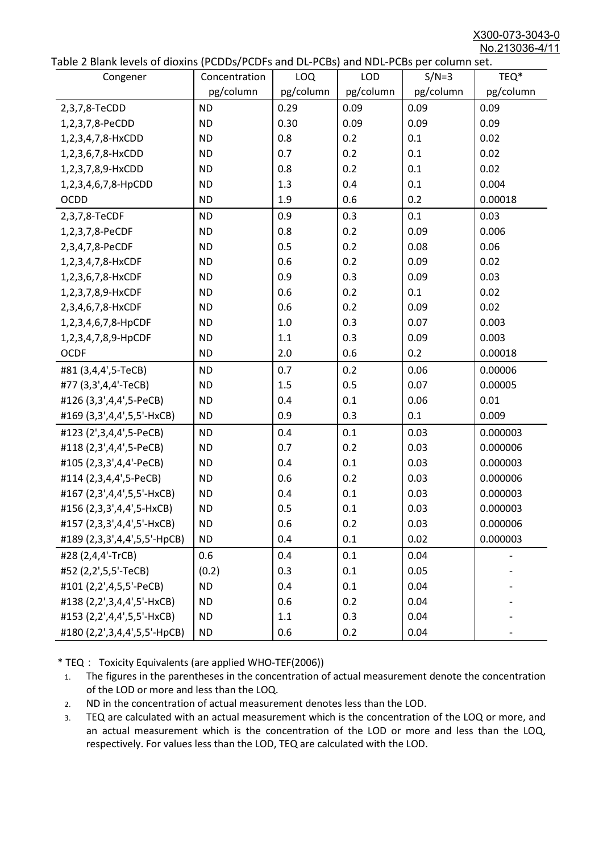X300-073-3043-0 No.213036-4/11

|  | Table 2 Blank levels of dioxins (PCDDs/PCDFs and DL-PCBs) and NDL-PCBs per column set. |
|--|----------------------------------------------------------------------------------------|
|--|----------------------------------------------------------------------------------------|

| able 2 Diarik levels of dioxins (I CDDs) I CDTs and DET CDs) and NDET CDs per column sett.<br>Congener | Concentration | LOQ       | <b>LOD</b> | $S/N=3$   | TEQ*      |
|--------------------------------------------------------------------------------------------------------|---------------|-----------|------------|-----------|-----------|
|                                                                                                        | pg/column     | pg/column | pg/column  | pg/column | pg/column |
| 2,3,7,8-TeCDD                                                                                          | <b>ND</b>     | 0.29      | 0.09       | 0.09      | 0.09      |
| 1,2,3,7,8-PeCDD                                                                                        | <b>ND</b>     | 0.30      | 0.09       | 0.09      | 0.09      |
| 1,2,3,4,7,8-HxCDD                                                                                      | <b>ND</b>     | 0.8       | 0.2        | 0.1       | 0.02      |
| 1,2,3,6,7,8-HxCDD                                                                                      | <b>ND</b>     | 0.7       | 0.2        | 0.1       | 0.02      |
| 1,2,3,7,8,9-HxCDD                                                                                      | <b>ND</b>     | 0.8       | 0.2        | 0.1       | 0.02      |
| 1,2,3,4,6,7,8-HpCDD                                                                                    | <b>ND</b>     | 1.3       | 0.4        | 0.1       | 0.004     |
| <b>OCDD</b>                                                                                            | <b>ND</b>     | 1.9       | 0.6        | 0.2       | 0.00018   |
| 2,3,7,8-TeCDF                                                                                          | <b>ND</b>     | 0.9       | 0.3        | 0.1       | 0.03      |
| 1,2,3,7,8-PeCDF                                                                                        | <b>ND</b>     | 0.8       | 0.2        | 0.09      | 0.006     |
| 2,3,4,7,8-PeCDF                                                                                        | <b>ND</b>     | 0.5       | 0.2        | 0.08      | 0.06      |
| 1,2,3,4,7,8-HxCDF                                                                                      | <b>ND</b>     | 0.6       | 0.2        | 0.09      | 0.02      |
| 1,2,3,6,7,8-HxCDF                                                                                      | <b>ND</b>     | 0.9       | 0.3        | 0.09      | 0.03      |
| 1,2,3,7,8,9-HxCDF                                                                                      | <b>ND</b>     | 0.6       | 0.2        | 0.1       | 0.02      |
| 2,3,4,6,7,8-HxCDF                                                                                      | <b>ND</b>     | 0.6       | 0.2        | 0.09      | 0.02      |
| 1,2,3,4,6,7,8-HpCDF                                                                                    | <b>ND</b>     | 1.0       | 0.3        | 0.07      | 0.003     |
| 1,2,3,4,7,8,9-HpCDF                                                                                    | <b>ND</b>     | 1.1       | 0.3        | 0.09      | 0.003     |
| <b>OCDF</b>                                                                                            | <b>ND</b>     | 2.0       | 0.6        | 0.2       | 0.00018   |
| #81 (3,4,4',5-TeCB)                                                                                    | <b>ND</b>     | 0.7       | 0.2        | 0.06      | 0.00006   |
| #77 (3,3',4,4'-TeCB)                                                                                   | <b>ND</b>     | 1.5       | 0.5        | 0.07      | 0.00005   |
| #126 (3,3',4,4',5-PeCB)                                                                                | <b>ND</b>     | 0.4       | 0.1        | 0.06      | 0.01      |
| #169 (3,3',4,4',5,5'-HxCB)                                                                             | <b>ND</b>     | 0.9       | 0.3        | 0.1       | 0.009     |
| #123 (2',3,4,4',5-PeCB)                                                                                | <b>ND</b>     | 0.4       | 0.1        | 0.03      | 0.000003  |
| #118 (2,3',4,4',5-PeCB)                                                                                | <b>ND</b>     | 0.7       | 0.2        | 0.03      | 0.000006  |
| #105 (2,3,3',4,4'-PeCB)                                                                                | <b>ND</b>     | 0.4       | 0.1        | 0.03      | 0.000003  |
| #114 (2,3,4,4',5-PeCB)                                                                                 | <b>ND</b>     | 0.6       | 0.2        | 0.03      | 0.000006  |
| #167 (2,3',4,4',5,5'-HxCB)                                                                             | <b>ND</b>     | 0.4       | 0.1        | 0.03      | 0.000003  |
| #156 (2,3,3',4,4',5-HxCB)                                                                              | <b>ND</b>     | 0.5       | 0.1        | 0.03      | 0.000003  |
| #157 (2,3,3',4,4',5'-HxCB)                                                                             | <b>ND</b>     | 0.6       | 0.2        | 0.03      | 0.000006  |
| #189 (2,3,3',4,4',5,5'-HpCB)                                                                           | <b>ND</b>     | 0.4       | 0.1        | 0.02      | 0.000003  |
| #28 (2,4,4'-TrCB)                                                                                      | 0.6           | 0.4       | 0.1        | 0.04      |           |
| #52 (2,2',5,5'-TeCB)                                                                                   | (0.2)         | 0.3       | 0.1        | 0.05      |           |
| #101 (2,2',4,5,5'-PeCB)                                                                                | <b>ND</b>     | 0.4       | 0.1        | 0.04      |           |
| #138 (2,2',3,4,4',5'-HxCB)                                                                             | <b>ND</b>     | 0.6       | 0.2        | 0.04      |           |
| #153 (2,2',4,4',5,5'-HxCB)                                                                             | <b>ND</b>     | 1.1       | 0.3        | 0.04      |           |
| #180 (2,2',3,4,4',5,5'-HpCB)                                                                           | <b>ND</b>     | 0.6       | 0.2        | 0.04      |           |

\* TEQ: Toxicity Equivalents (are applied WHO-TEF(2006))

- 1. The figures in the parentheses in the concentration of actual measurement denote the concentration of the LOD or more and less than the LOQ.
- 2. ND in the concentration of actual measurement denotes less than the LOD.
- 3. TEQ are calculated with an actual measurement which is the concentration of the LOQ or more, and an actual measurement which is the concentration of the LOD or more and less than the LOQ, respectively. For values less than the LOD, TEQ are calculated with the LOD.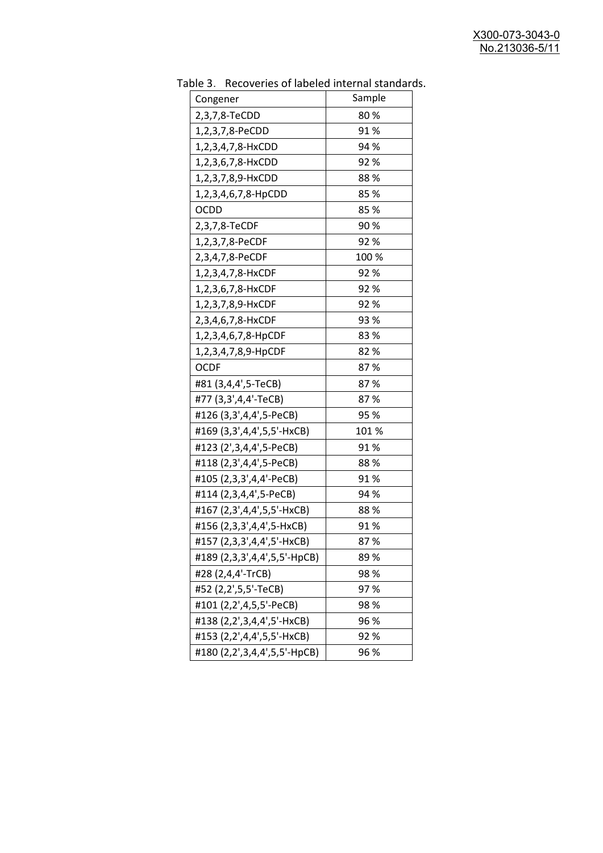| uwic J.<br>Recoveries of fabeled internal standar |        |
|---------------------------------------------------|--------|
| Congener                                          | Sample |
| 2,3,7,8-TeCDD                                     | 80%    |
| 1,2,3,7,8-PeCDD                                   | 91%    |
| 1,2,3,4,7,8-HxCDD                                 | 94 %   |
| 1,2,3,6,7,8-HxCDD                                 | 92%    |
| 1,2,3,7,8,9-HxCDD                                 | 88%    |
| 1,2,3,4,6,7,8-HpCDD                               | 85 %   |
| <b>OCDD</b>                                       | 85%    |
| 2,3,7,8-TeCDF                                     | 90%    |
| 1,2,3,7,8-PeCDF                                   | 92%    |
| 2,3,4,7,8-PeCDF                                   | 100 %  |
| 1,2,3,4,7,8-HxCDF                                 | 92%    |
| 1,2,3,6,7,8-HxCDF                                 | 92%    |
| 1,2,3,7,8,9-HxCDF                                 | 92 %   |
| 2,3,4,6,7,8-HxCDF                                 | 93 %   |
| 1,2,3,4,6,7,8-HpCDF                               | 83%    |
| 1,2,3,4,7,8,9-HpCDF                               | 82%    |
| <b>OCDF</b>                                       | 87%    |
| #81 (3,4,4',5-TeCB)                               | 87%    |
| #77 (3,3',4,4'-TeCB)                              | 87%    |
| #126 (3,3',4,4',5-PeCB)                           | 95 %   |
| #169 (3,3',4,4',5,5'-HxCB)                        | 101 %  |
| #123 (2',3,4,4',5-PeCB)                           | 91%    |
| #118 (2,3',4,4',5-PeCB)                           | 88%    |
| #105 (2,3,3',4,4'-PeCB)                           | 91%    |
| #114 (2,3,4,4',5-PeCB)                            | 94 %   |
| #167 (2,3',4,4',5,5'-HxCB)                        | 88%    |
| #156 (2,3,3',4,4',5-HxCB)                         | 91%    |
| #157 (2,3,3',4,4',5'-HxCB)                        | 87%    |
| #189 (2,3,3',4,4',5,5'-HpCB)                      | 89%    |
| #28 (2,4,4'-TrCB)                                 | 98%    |
| #52 (2,2',5,5'-TeCB)                              | 97%    |
| #101 (2,2',4,5,5'-PeCB)                           | 98%    |
| #138 (2,2',3,4,4',5'-HxCB)                        | 96 %   |
| #153 (2,2',4,4',5,5'-HxCB)                        | 92%    |
| #180 (2,2',3,4,4',5,5'-HpCB)                      | 96 %   |

Table 3. Recoveries of labeled internal standards.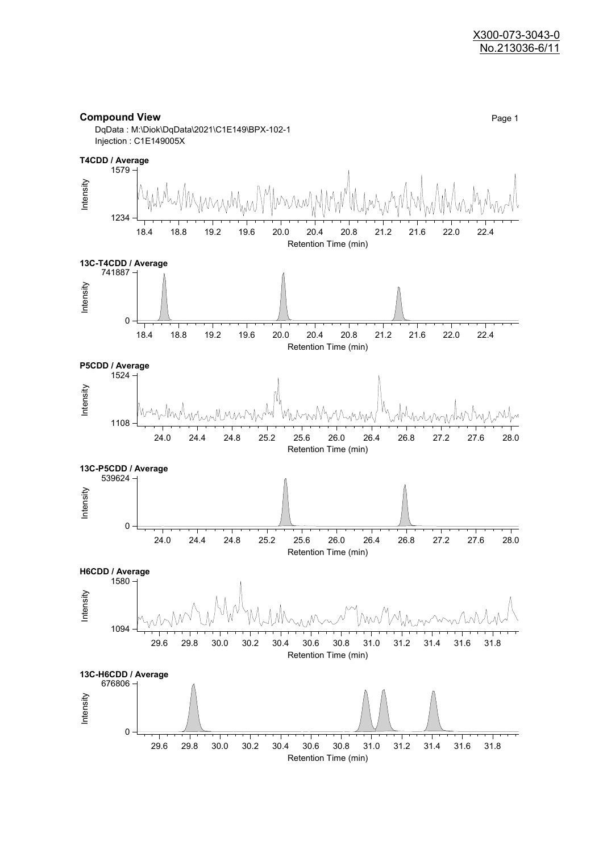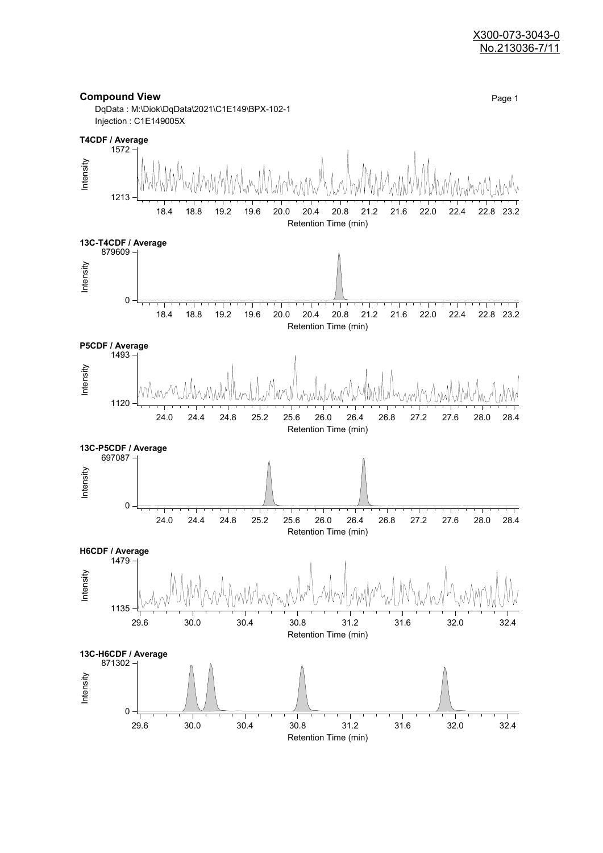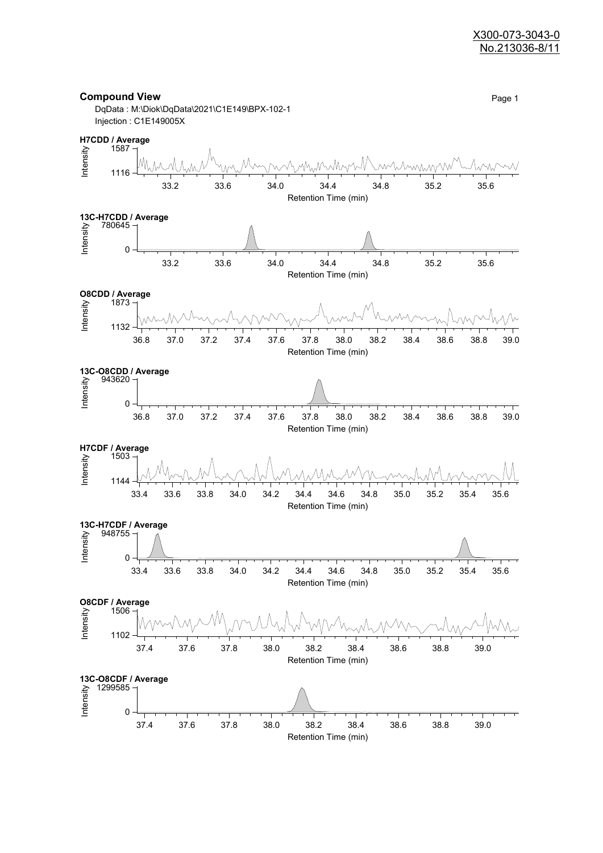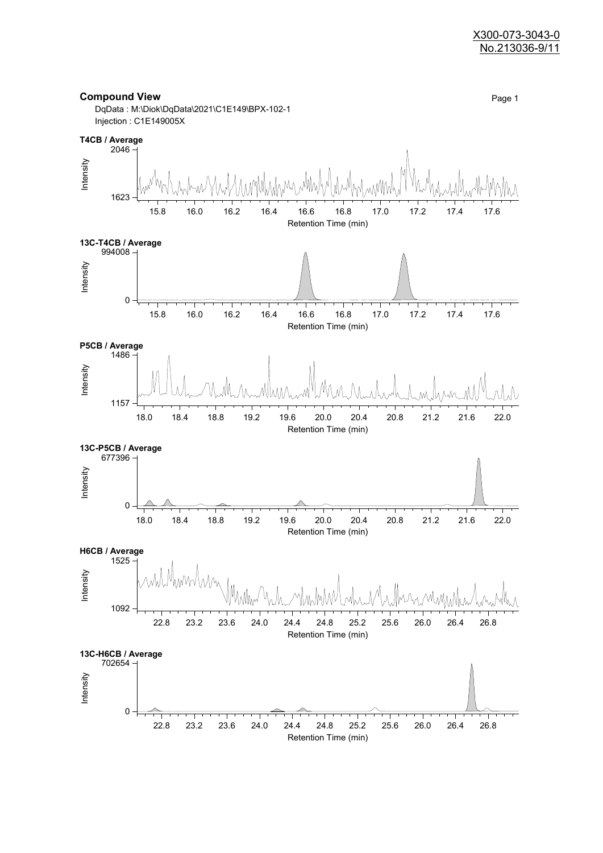

Retention Time (min)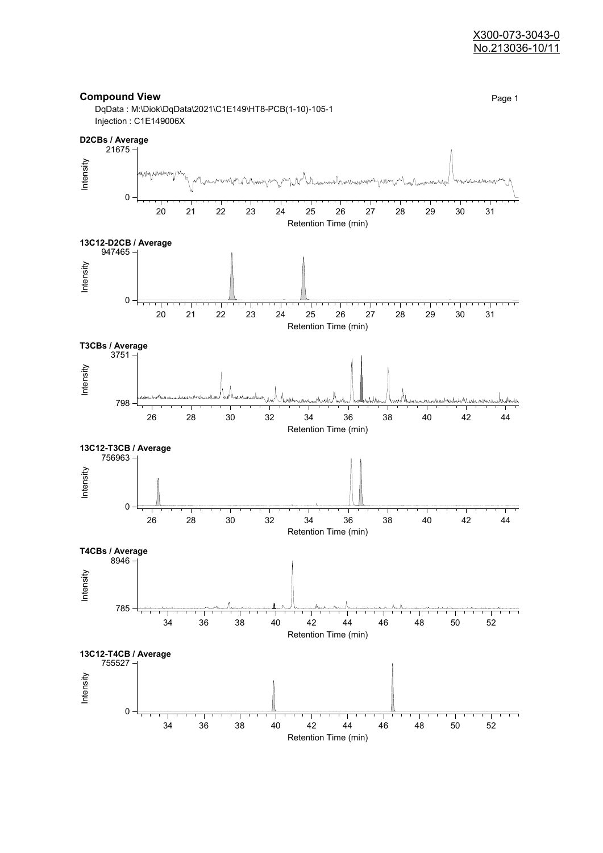